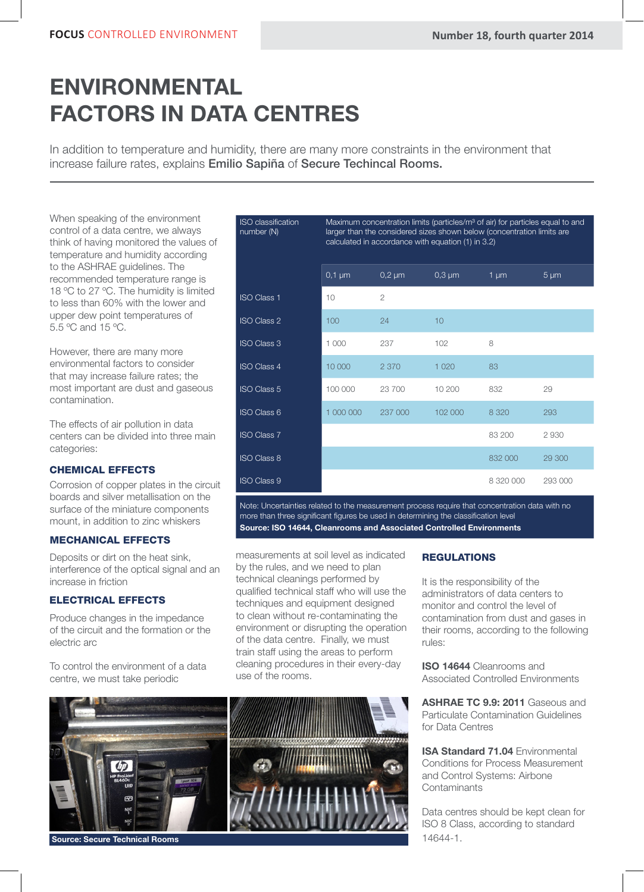# ENVIRONMENTAL FACTORS IN DATA CENTRES

In addition to temperature and humidity, there are many more constraints in the environment that increase failure rates, explains Emilio Sapiña of Secure Techincal Rooms.

When speaking of the environment control of a data centre, we always think of having monitored the values of temperature and humidity according to the ASHRAE guidelines. The recommended temperature range is 18 °C to 27 °C. The humidity is limited to less than 60% with the lower and upper dew point temperatures of 5.5 ºC and 15 ºC.

However, there are many more environmental factors to consider that may increase failure rates; the most important are dust and gaseous contamination.

The effects of air pollution in data centers can be divided into three main categories:

# CHEMICAL EFFECTS

Corrosion of copper plates in the circuit boards and silver metallisation on the surface of the miniature components mount, in addition to zinc whiskers

# MECHANICAL EFFECTS

Deposits or dirt on the heat sink, interference of the optical signal and an increase in friction

# ELECTRICAL EFFECTS

Produce changes in the impedance of the circuit and the formation or the electric arc

To control the environment of a data centre, we must take periodic

| <b>ISO</b> classification<br>number (N) | Maximum concentration limits (particles/m <sup>3</sup> of air) for particles equal to and<br>larger than the considered sizes shown below (concentration limits are<br>calculated in accordance with equation (1) in 3.2) |                |             |           |           |  |
|-----------------------------------------|---------------------------------------------------------------------------------------------------------------------------------------------------------------------------------------------------------------------------|----------------|-------------|-----------|-----------|--|
|                                         | $0,1 \mu m$                                                                                                                                                                                                               | $0,2 \mu m$    | $0,3 \mu m$ | $1 \mu m$ | $5 \mu m$ |  |
| <b>ISO Class 1</b>                      | 10                                                                                                                                                                                                                        | $\overline{2}$ |             |           |           |  |
| <b>ISO Class 2</b>                      | 100                                                                                                                                                                                                                       | 24             | 10          |           |           |  |
| <b>ISO Class 3</b>                      | 1 000                                                                                                                                                                                                                     | 237            | 102         | 8         |           |  |
| <b>ISO Class 4</b>                      | 10 000                                                                                                                                                                                                                    | 2 3 7 0        | 1 0 2 0     | 83        |           |  |
| <b>ISO Class 5</b>                      | 100 000                                                                                                                                                                                                                   | 23 700         | 10 200      | 832       | 29        |  |
| <b>ISO Class 6</b>                      | 1 000 000                                                                                                                                                                                                                 | 237 000        | 102 000     | 8 3 2 0   | 293       |  |
| <b>ISO Class 7</b>                      |                                                                                                                                                                                                                           |                |             | 83 200    | 2930      |  |
| <b>ISO Class 8</b>                      |                                                                                                                                                                                                                           |                |             | 832 000   | 29 300    |  |
| <b>ISO Class 9</b>                      |                                                                                                                                                                                                                           |                |             | 8 320 000 | 293 000   |  |

Note: Uncertainties related to the measurement process require that concentration data with no more than three significant figures be used in determining the classification level Source: ISO 14644, Cleanrooms and Associated Controlled Environments

measurements at soil level as indicated by the rules, and we need to plan technical cleanings performed by qualified technical staff who will use the techniques and equipment designed to clean without re-contaminating the environment or disrupting the operation of the data centre. Finally, we must train staff using the areas to perform cleaning procedures in their every-day use of the rooms.

# **REGULATIONS**

It is the responsibility of the administrators of data centers to monitor and control the level of contamination from dust and gases in their rooms, according to the following rules:

**ISO 14644 Cleanrooms and** Associated Controlled Environments

ASHRAE TC 9.9: 2011 Gaseous and Particulate Contamination Guidelines for Data Centres

**ISA Standard 71.04 Environmental** Conditions for Process Measurement and Control Systems: Airbone **Contaminants** 

Data centres should be kept clean for ISO 8 Class, according to standard 14644-1.



Source: Secure Technical Rooms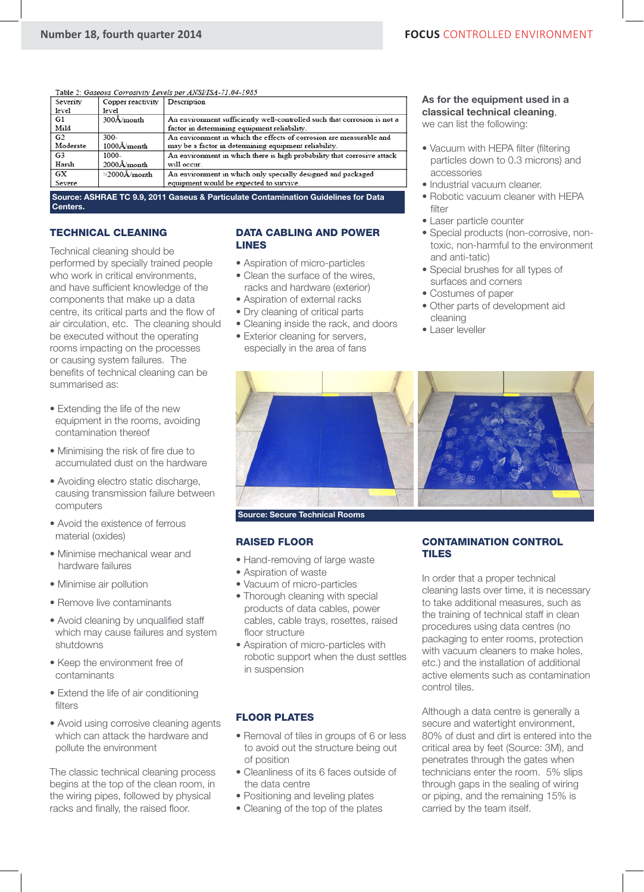| Table 2: Gaseous Corrosivity Levels per ANSI/ISA-71.04-1985 |  |  |  |
|-------------------------------------------------------------|--|--|--|
|                                                             |  |  |  |

| Severity       | Copper reactivity             | Description                                                              |
|----------------|-------------------------------|--------------------------------------------------------------------------|
| level          | level                         |                                                                          |
| G1             | $300\text{\AA}/\text{month}$  | An environment sufficiently well-controlled such that corrosion is not a |
| Mild           |                               | factor in determining equipment reliability.                             |
| G <sub>2</sub> | $300 -$                       | An environment in which the effects of corrosion are measurable and      |
| Moderate       | $1000\text{\AA}/\text{month}$ | may be a factor in determining equipment reliability.                    |
| G <sub>3</sub> | 1000-                         | An environment in which there is high probability that corrosive attack  |
| Harsh          | $2000$ Å/month                | will occur.                                                              |
| GX             | $>$ 2000Å/month               | An environment in which only specially designed and packaged             |
| Severe         |                               | equipment would be expected to survive.                                  |
|                |                               |                                                                          |

Source: ASHRAE TC 9.9, 2011 Gaseus & Particulate Contamination Guidelines for Data Centers.

# TECHNICAL CLEANING

Technical cleaning should be performed by specially trained people who work in critical environments, and have sufficient knowledge of the components that make up a data centre, its critical parts and the flow of air circulation, etc. The cleaning should be executed without the operating rooms impacting on the processes or causing system failures. The benefits of technical cleaning can be summarised as:

- Extending the life of the new equipment in the rooms, avoiding contamination thereof
- Minimising the risk of fire due to accumulated dust on the hardware
- Avoiding electro static discharge, causing transmission failure between computers
- Avoid the existence of ferrous material (oxides)
- Minimise mechanical wear and hardware failures
- Minimise air pollution
- Remove live contaminants
- Avoid cleaning by unqualified staff which may cause failures and system shutdowns
- Keep the environment free of contaminants
- Extend the life of air conditioning filters
- Avoid using corrosive cleaning agents which can attack the hardware and pollute the environment

The classic technical cleaning process begins at the top of the clean room, in the wiring pipes, followed by physical racks and finally, the raised floor.

### DATA CABLING AND POWER LINES

- Aspiration of micro-particles
- Clean the surface of the wires, racks and hardware (exterior)
- Aspiration of external racks
- Dry cleaning of critical parts
- Cleaning inside the rack, and doors
- Exterior cleaning for servers, especially in the area of fans

### As for the equipment used in a classical technical cleaning, we can list the following:

- Vacuum with HEPA filter (filtering particles down to 0.3 microns) and accessories
- Industrial vacuum cleaner.
- Robotic vacuum cleaner with HEPA filter
- Laser particle counter
- Special products (non-corrosive, non toxic, non-harmful to the environment and anti-tatic)
- Special brushes for all types of surfaces and corners
- Costumes of paper
- Other parts of development aid cleaning
- Laser leveller



# RAISED FLOOR

- Hand-removing of large waste
- Aspiration of waste
- Vacuum of micro-particles
- Thorough cleaning with special products of data cables, power cables, cable trays, rosettes, raised floor structure
- Aspiration of micro-particles with robotic support when the dust settles in suspension

# FLOOR PLATES

- Removal of tiles in groups of 6 or less to avoid out the structure being out of position
- Cleanliness of its 6 faces outside of the data centre
- Positioning and leveling plates
- Cleaning of the top of the plates

# CONTAMINATION CONTROL TILES

In order that a proper technical cleaning lasts over time, it is necessary to take additional measures, such as the training of technical staff in clean procedures using data centres (no packaging to enter rooms, protection with vacuum cleaners to make holes, etc.) and the installation of additional active elements such as contamination control tiles.

Although a data centre is generally a secure and watertight environment, 80% of dust and dirt is entered into the critical area by feet (Source: 3M), and penetrates through the gates when technicians enter the room. 5% slips through gaps in the sealing of wiring or piping, and the remaining 15% is carried by the team itself.